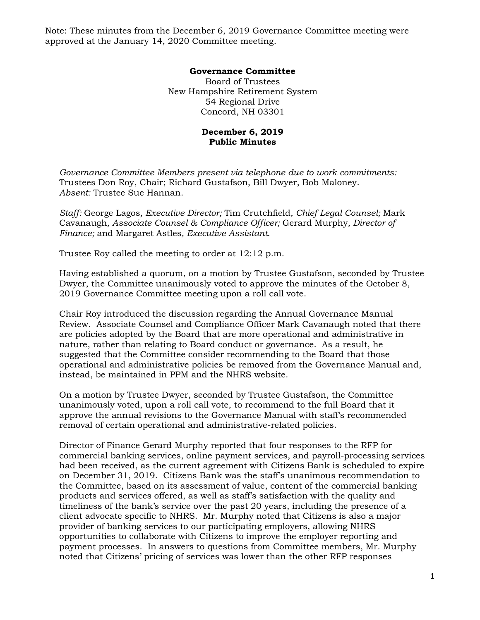Note: These minutes from the December 6, 2019 Governance Committee meeting were approved at the January 14, 2020 Committee meeting.

## **Governance Committee**

Board of Trustees New Hampshire Retirement System 54 Regional Drive Concord, NH 03301

## **December 6, 2019 Public Minutes**

*Governance Committee Members present via telephone due to work commitments:*  Trustees Don Roy, Chair; Richard Gustafson, Bill Dwyer, Bob Maloney. *Absent:* Trustee Sue Hannan.

*Staff:* George Lagos*, Executive Director;* Tim Crutchfield*, Chief Legal Counsel;* Mark Cavanaugh*, Associate Counsel & Compliance Officer;* Gerard Murphy*, Director of Finance;* and Margaret Astles*, Executive Assistant.* 

Trustee Roy called the meeting to order at 12:12 p.m.

Having established a quorum, on a motion by Trustee Gustafson, seconded by Trustee Dwyer, the Committee unanimously voted to approve the minutes of the October 8, 2019 Governance Committee meeting upon a roll call vote.

Chair Roy introduced the discussion regarding the Annual Governance Manual Review. Associate Counsel and Compliance Officer Mark Cavanaugh noted that there are policies adopted by the Board that are more operational and administrative in nature, rather than relating to Board conduct or governance. As a result, he suggested that the Committee consider recommending to the Board that those operational and administrative policies be removed from the Governance Manual and, instead, be maintained in PPM and the NHRS website.

On a motion by Trustee Dwyer, seconded by Trustee Gustafson, the Committee unanimously voted, upon a roll call vote, to recommend to the full Board that it approve the annual revisions to the Governance Manual with staff's recommended removal of certain operational and administrative-related policies.

Director of Finance Gerard Murphy reported that four responses to the RFP for commercial banking services, online payment services, and payroll-processing services had been received, as the current agreement with Citizens Bank is scheduled to expire on December 31, 2019. Citizens Bank was the staff's unanimous recommendation to the Committee, based on its assessment of value, content of the commercial banking products and services offered, as well as staff's satisfaction with the quality and timeliness of the bank's service over the past 20 years, including the presence of a client advocate specific to NHRS. Mr. Murphy noted that Citizens is also a major provider of banking services to our participating employers, allowing NHRS opportunities to collaborate with Citizens to improve the employer reporting and payment processes. In answers to questions from Committee members, Mr. Murphy noted that Citizens' pricing of services was lower than the other RFP responses